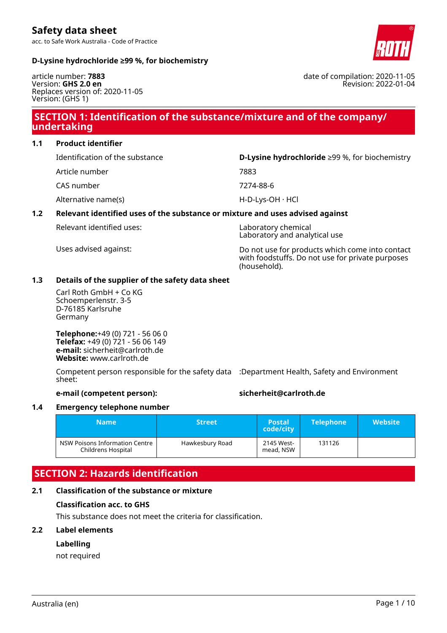acc. to Safe Work Australia - Code of Practice

### **D-Lysine hydrochloride ≥99 %, for biochemistry**

article number: **7883** Version: **GHS 2.0 en** Replaces version of: 2020-11-05 Version: (GHS 1)

# **SECTION 1: Identification of the substance/mixture and of the company/ undertaking**

**1.1 Product identifier**

Identification of the substance **D-Lysine hydrochloride** ≥99 %, for biochemistry

- Article number 7883
- CAS number 7274-88-6

Alternative name(s) discussed the extended of H-D-Lys-OH · HCl

# **1.2 Relevant identified uses of the substance or mixture and uses advised against**

Relevant identified uses: Laboratory chemical

Laboratory and analytical use

Uses advised against: Do not use for products which come into contact with foodstuffs. Do not use for private purposes (household).

### **1.3 Details of the supplier of the safety data sheet**

Carl Roth GmbH + Co KG Schoemperlenstr. 3-5 D-76185 Karlsruhe Germany

**Telephone:**+49 (0) 721 - 56 06 0 **Telefax:** +49 (0) 721 - 56 06 149 **e-mail:** sicherheit@carlroth.de **Website:** www.carlroth.de

Competent person responsible for the safety data :Department Health, Safety and Environment sheet:

### **e-mail (competent person): sicherheit@carlroth.de**

### **1.4 Emergency telephone number**

| <b>Name</b>                                          | <b>Street</b>   | <b>Postal</b><br>code/city | <b>Telephone</b> | <b>Website</b> |
|------------------------------------------------------|-----------------|----------------------------|------------------|----------------|
| NSW Poisons Information Centre<br>Childrens Hospital | Hawkesbury Road | 2145 West-<br>mead, NSW    | 131126           |                |

# **SECTION 2: Hazards identification**

# **2.1 Classification of the substance or mixture**

### **Classification acc. to GHS**

This substance does not meet the criteria for classification.

### **2.2 Label elements**

### **Labelling**

not required



date of compilation: 2020-11-05 Revision: 2022-01-04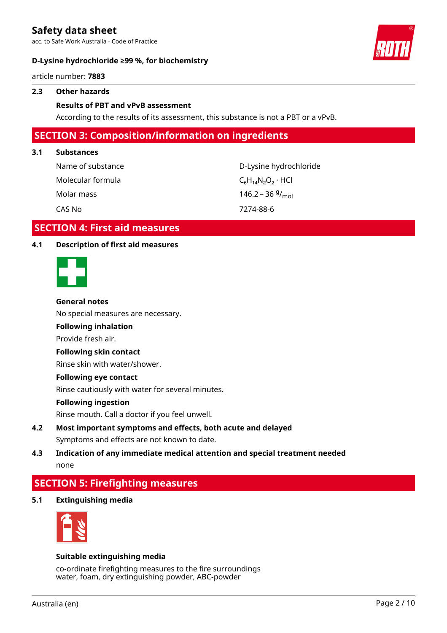acc. to Safe Work Australia - Code of Practice

### **D-Lysine hydrochloride ≥99 %, for biochemistry**



article number: **7883**

### **2.3 Other hazards**

### **Results of PBT and vPvB assessment**

According to the results of its assessment, this substance is not a PBT or a vPvB.

# **SECTION 3: Composition/information on ingredients**

### **3.1 Substances**

| Name of substance | D-Lysine hydrochloride       |
|-------------------|------------------------------|
| Molecular formula | $C_6H_{14}N_2O_2 \cdot HCl$  |
| Molar mass        | 146.2 – 36 $9/_{\text{mol}}$ |
| CAS No            | 7274-88-6                    |

# **SECTION 4: First aid measures**

### **4.1 Description of first aid measures**



### **General notes**

No special measures are necessary.

# **Following inhalation**

Provide fresh air.

### **Following skin contact**

Rinse skin with water/shower.

### **Following eye contact**

Rinse cautiously with water for several minutes.

#### **Following ingestion**

Rinse mouth. Call a doctor if you feel unwell.

- **4.2 Most important symptoms and effects, both acute and delayed** Symptoms and effects are not known to date.
- **4.3 Indication of any immediate medical attention and special treatment needed** none

# **SECTION 5: Firefighting measures**

**5.1 Extinguishing media**



### **Suitable extinguishing media**

co-ordinate firefighting measures to the fire surroundings water, foam, dry extinguishing powder, ABC-powder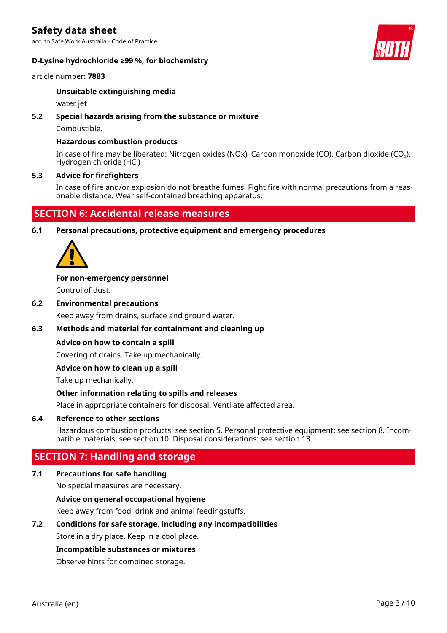acc. to Safe Work Australia - Code of Practice

### **D-Lysine hydrochloride ≥99 %, for biochemistry**



### article number: **7883**

### **Unsuitable extinguishing media**

water jet

### **5.2 Special hazards arising from the substance or mixture**

Combustible.

### **Hazardous combustion products**

In case of fire may be liberated: Nitrogen oxides (NOx), Carbon monoxide (CO), Carbon dioxide (CO₂), Hydrogen chloride (HCl)

### **5.3 Advice for firefighters**

In case of fire and/or explosion do not breathe fumes. Fight fire with normal precautions from a reasonable distance. Wear self-contained breathing apparatus.

# **SECTION 6: Accidental release measures**

**6.1 Personal precautions, protective equipment and emergency procedures**



### **For non-emergency personnel**

Control of dust.

**6.2 Environmental precautions**

Keep away from drains, surface and ground water.

### **6.3 Methods and material for containment and cleaning up**

### **Advice on how to contain a spill**

Covering of drains. Take up mechanically.

### **Advice on how to clean up a spill**

Take up mechanically.

### **Other information relating to spills and releases**

Place in appropriate containers for disposal. Ventilate affected area.

### **6.4 Reference to other sections**

Hazardous combustion products: see section 5. Personal protective equipment: see section 8. Incompatible materials: see section 10. Disposal considerations: see section 13.

# **SECTION 7: Handling and storage**

### **7.1 Precautions for safe handling**

No special measures are necessary.

### **Advice on general occupational hygiene**

Keep away from food, drink and animal feedingstuffs.

### **7.2 Conditions for safe storage, including any incompatibilities**

Store in a dry place. Keep in a cool place.

### **Incompatible substances or mixtures**

Observe hints for combined storage.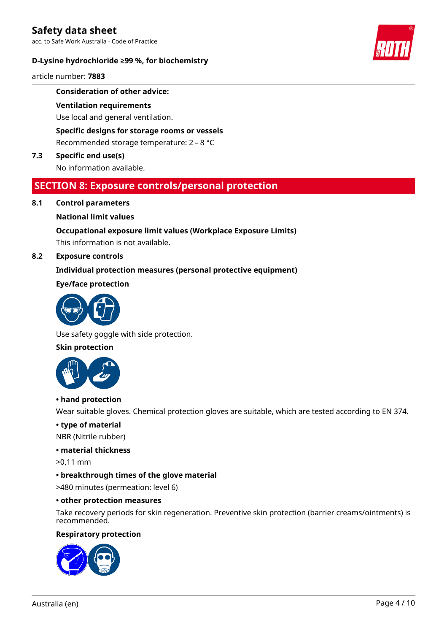acc. to Safe Work Australia - Code of Practice

### **D-Lysine hydrochloride ≥99 %, for biochemistry**



article number: **7883**

### **Consideration of other advice:**

### **Ventilation requirements**

Use local and general ventilation.

### **Specific designs for storage rooms or vessels**

Recommended storage temperature: 2 – 8 °C

### **7.3 Specific end use(s)**

No information available.

# **SECTION 8: Exposure controls/personal protection**

### **8.1 Control parameters**

### **National limit values**

### **Occupational exposure limit values (Workplace Exposure Limits)**

This information is not available.

### **8.2 Exposure controls**

### **Individual protection measures (personal protective equipment)**

### **Eye/face protection**



Use safety goggle with side protection.

### **Skin protection**



### **• hand protection**

Wear suitable gloves. Chemical protection gloves are suitable, which are tested according to EN 374.

### **• type of material**

NBR (Nitrile rubber)

### **• material thickness**

>0,11 mm

### **• breakthrough times of the glove material**

>480 minutes (permeation: level 6)

### **• other protection measures**

Take recovery periods for skin regeneration. Preventive skin protection (barrier creams/ointments) is recommended.

### **Respiratory protection**

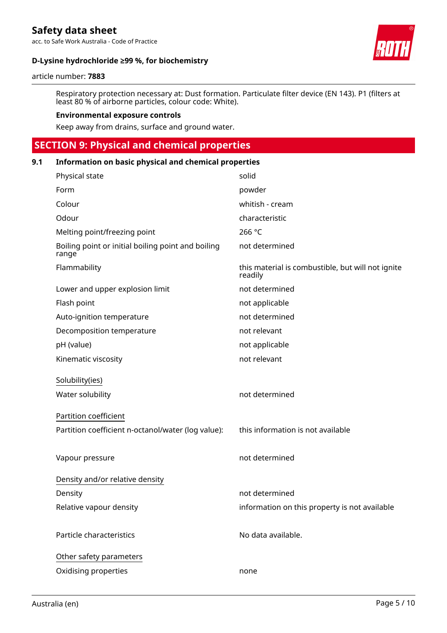acc. to Safe Work Australia - Code of Practice

# **D-Lysine hydrochloride ≥99 %, for biochemistry**



#### article number: **7883**

Respiratory protection necessary at: Dust formation. Particulate filter device (EN 143). P1 (filters at least 80 % of airborne particles, colour code: White).

### **Environmental exposure controls**

Keep away from drains, surface and ground water.

# **SECTION 9: Physical and chemical properties**

| 9.1 | Information on basic physical and chemical properties       |                                                              |  |
|-----|-------------------------------------------------------------|--------------------------------------------------------------|--|
|     | Physical state                                              | solid                                                        |  |
|     | Form                                                        | powder                                                       |  |
|     | Colour                                                      | whitish - cream                                              |  |
|     | Odour                                                       | characteristic                                               |  |
|     | Melting point/freezing point                                | 266 °C                                                       |  |
|     | Boiling point or initial boiling point and boiling<br>range | not determined                                               |  |
|     | Flammability                                                | this material is combustible, but will not ignite<br>readily |  |
|     | Lower and upper explosion limit                             | not determined                                               |  |
|     | Flash point                                                 | not applicable                                               |  |
|     | Auto-ignition temperature                                   | not determined                                               |  |
|     | Decomposition temperature                                   | not relevant                                                 |  |
|     | pH (value)                                                  | not applicable                                               |  |
|     | Kinematic viscosity                                         | not relevant                                                 |  |
|     | Solubility(ies)                                             |                                                              |  |
|     | Water solubility                                            | not determined                                               |  |
|     | Partition coefficient                                       |                                                              |  |
|     | Partition coefficient n-octanol/water (log value):          | this information is not available                            |  |
|     |                                                             |                                                              |  |
|     | Vapour pressure                                             | not determined                                               |  |
|     | Density and/or relative density                             |                                                              |  |
|     | Density                                                     | not determined                                               |  |
|     | Relative vapour density                                     | information on this property is not available                |  |
|     |                                                             |                                                              |  |
|     | Particle characteristics                                    | No data available.                                           |  |
|     | Other safety parameters                                     |                                                              |  |
|     | Oxidising properties                                        | none                                                         |  |
|     |                                                             |                                                              |  |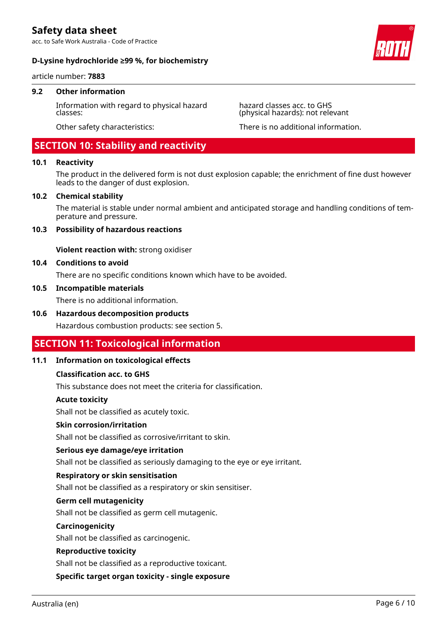acc. to Safe Work Australia - Code of Practice

### **D-Lysine hydrochloride ≥99 %, for biochemistry**

article number: **7883**

### **9.2 Other information**

Information with regard to physical hazard classes:

# **SECTION 10: Stability and reactivity**

### **10.1 Reactivity**

The product in the delivered form is not dust explosion capable; the enrichment of fine dust however leads to the danger of dust explosion.

### **10.2 Chemical stability**

The material is stable under normal ambient and anticipated storage and handling conditions of temperature and pressure.

### **10.3 Possibility of hazardous reactions**

**Violent reaction with:** strong oxidiser

### **10.4 Conditions to avoid**

There are no specific conditions known which have to be avoided.

### **10.5 Incompatible materials**

There is no additional information.

### **10.6 Hazardous decomposition products**

Hazardous combustion products: see section 5.

# **SECTION 11: Toxicological information**

### **11.1 Information on toxicological effects**

### **Classification acc. to GHS**

This substance does not meet the criteria for classification.

#### **Acute toxicity**

Shall not be classified as acutely toxic.

### **Skin corrosion/irritation**

Shall not be classified as corrosive/irritant to skin.

### **Serious eye damage/eye irritation**

Shall not be classified as seriously damaging to the eye or eye irritant.

#### **Respiratory or skin sensitisation**

Shall not be classified as a respiratory or skin sensitiser.

### **Germ cell mutagenicity**

Shall not be classified as germ cell mutagenic.

### **Carcinogenicity**

Shall not be classified as carcinogenic.

#### **Reproductive toxicity**

Shall not be classified as a reproductive toxicant.

**Specific target organ toxicity - single exposure**



hazard classes acc. to GHS (physical hazards): not relevant

Other safety characteristics: There is no additional information.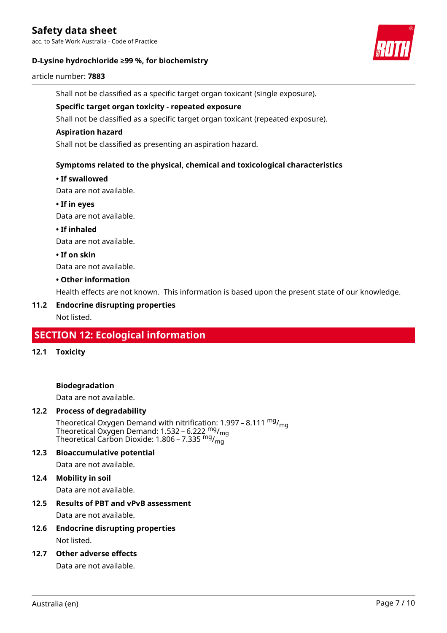acc. to Safe Work Australia - Code of Practice

### **D-Lysine hydrochloride ≥99 %, for biochemistry**



### article number: **7883**

Shall not be classified as a specific target organ toxicant (single exposure).

### **Specific target organ toxicity - repeated exposure**

Shall not be classified as a specific target organ toxicant (repeated exposure).

### **Aspiration hazard**

Shall not be classified as presenting an aspiration hazard.

### **Symptoms related to the physical, chemical and toxicological characteristics**

### **• If swallowed**

Data are not available.

**• If in eyes**

Data are not available.

**• If inhaled**

Data are not available.

**• If on skin**

Data are not available.

### **• Other information**

Health effects are not known. This information is based upon the present state of our knowledge.

### **11.2 Endocrine disrupting properties**

Not listed.

# **SECTION 12: Ecological information**

**12.1 Toxicity**

### **Biodegradation**

Data are not available.

### **12.2 Process of degradability**

Theoretical Oxygen Demand with nitrification: 1.997 – 8.111  $mg/m<sub>q</sub>$ Theoretical Oxygen Demand: 1.532 – 6.222  $mg/m<sub>g</sub>$ Theoretical Carbon Dioxide: 1.806 – 7.335  $mg/m<sub>0</sub>$ 

### **12.3 Bioaccumulative potential**

Data are not available.

**12.4 Mobility in soil**

Data are not available.

# **12.5 Results of PBT and vPvB assessment**

Data are not available.

- **12.6 Endocrine disrupting properties** Not listed.
- **12.7 Other adverse effects**

Data are not available.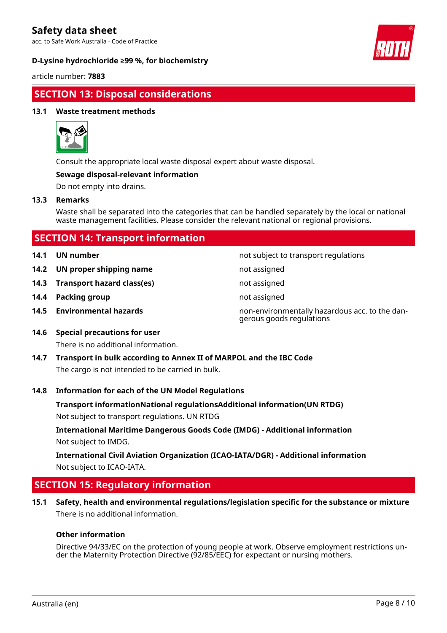acc. to Safe Work Australia - Code of Practice

### **D-Lysine hydrochloride ≥99 %, for biochemistry**



article number: **7883**

# **SECTION 13: Disposal considerations**

### **13.1 Waste treatment methods**



Consult the appropriate local waste disposal expert about waste disposal.

### **Sewage disposal-relevant information**

Do not empty into drains.

### **13.3 Remarks**

Waste shall be separated into the categories that can be handled separately by the local or national waste management facilities. Please consider the relevant national or regional provisions.

| <b>SECTION 14: Transport information</b> |                                 |                                                                            |
|------------------------------------------|---------------------------------|----------------------------------------------------------------------------|
| 14.1                                     | UN number                       | not subject to transport regulations                                       |
|                                          | 14.2 UN proper shipping name    | not assigned                                                               |
|                                          | 14.3 Transport hazard class(es) | not assigned                                                               |
| 14.4                                     | Packing group                   | not assigned                                                               |
|                                          | 14.5 Environmental hazards      | non-environmentally hazardous acc. to the dan-<br>gerous goods regulations |
| 14.6                                     | Special precautions for user    |                                                                            |

**14.6 Special precautions for user** There is no additional information.

**14.7 Transport in bulk according to Annex II of MARPOL and the IBC Code** The cargo is not intended to be carried in bulk.

### **14.8 Information for each of the UN Model Regulations**

**Transport informationNational regulationsAdditional information(UN RTDG)**

Not subject to transport regulations. UN RTDG

**International Maritime Dangerous Goods Code (IMDG) - Additional information** Not subject to IMDG.

**International Civil Aviation Organization (ICAO-IATA/DGR) - Additional information** Not subject to ICAO-IATA.

# **SECTION 15: Regulatory information**

**15.1 Safety, health and environmental regulations/legislation specific for the substance or mixture** There is no additional information.

### **Other information**

Directive 94/33/EC on the protection of young people at work. Observe employment restrictions under the Maternity Protection Directive (92/85/EEC) for expectant or nursing mothers.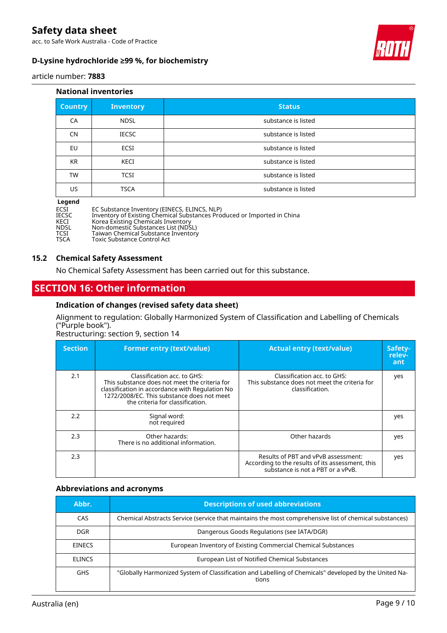acc. to Safe Work Australia - Code of Practice

### **D-Lysine hydrochloride ≥99 %, for biochemistry**



article number: **7883**

### **National inventories**

| <b>Country</b> | <b>Inventory</b> | <b>Status</b>       |
|----------------|------------------|---------------------|
| CA             | <b>NDSL</b>      | substance is listed |
| <b>CN</b>      | <b>IECSC</b>     | substance is listed |
| EU             | ECSI             | substance is listed |
| <b>KR</b>      | KECI             | substance is listed |
| TW             | <b>TCSI</b>      | substance is listed |
| US             | <b>TSCA</b>      | substance is listed |

### **Legend**

| ECSI         | EC Substance Inventory (EINECS, ELINCS, NLP)                            |
|--------------|-------------------------------------------------------------------------|
| <b>IECSC</b> | Inventory of Existing Chemical Substances Produced or Imported in China |
| KECI         | Korea Existing Chemicals Inventory                                      |
| NDSL         | Non-domestic Substances List (NDSL)                                     |
| זריכז        | Taiwan Chemical Substance Inventory                                     |

TCSI Taiwan Chemical Substance Inventory<br>TSCA Toxic Substance Control Act Toxic Substance Control Act

### **15.2 Chemical Safety Assessment**

No Chemical Safety Assessment has been carried out for this substance.

# **SECTION 16: Other information**

### **Indication of changes (revised safety data sheet)**

Alignment to regulation: Globally Harmonized System of Classification and Labelling of Chemicals ("Purple book").

Restructuring: section 9, section 14

| <b>Section</b> | <b>Former entry (text/value)</b>                                                                                                                                                                                  | <b>Actual entry (text/value)</b>                                                                                             | Safety-<br>relev-<br>ant |
|----------------|-------------------------------------------------------------------------------------------------------------------------------------------------------------------------------------------------------------------|------------------------------------------------------------------------------------------------------------------------------|--------------------------|
| 2.1            | Classification acc. to GHS:<br>This substance does not meet the criteria for<br>classification in accordance with Regulation No<br>1272/2008/EC. This substance does not meet<br>the criteria for classification. | Classification acc. to GHS:<br>This substance does not meet the criteria for<br>classification.                              | yes                      |
| 2.2            | Signal word:<br>not required                                                                                                                                                                                      |                                                                                                                              | yes                      |
| 2.3            | Other hazards:<br>There is no additional information.                                                                                                                                                             | Other hazards                                                                                                                | yes                      |
| 2.3            |                                                                                                                                                                                                                   | Results of PBT and vPvB assessment:<br>According to the results of its assessment, this<br>substance is not a PBT or a vPvB. | yes                      |

### **Abbreviations and acronyms**

| Abbr.         | <b>Descriptions of used abbreviations</b>                                                                      |
|---------------|----------------------------------------------------------------------------------------------------------------|
| CAS           | Chemical Abstracts Service (service that maintains the most comprehensive list of chemical substances)         |
| DGR           | Dangerous Goods Regulations (see IATA/DGR)                                                                     |
| <b>EINECS</b> | European Inventory of Existing Commercial Chemical Substances                                                  |
| <b>ELINCS</b> | European List of Notified Chemical Substances                                                                  |
| <b>GHS</b>    | "Globally Harmonized System of Classification and Labelling of Chemicals" developed by the United Na-<br>tions |